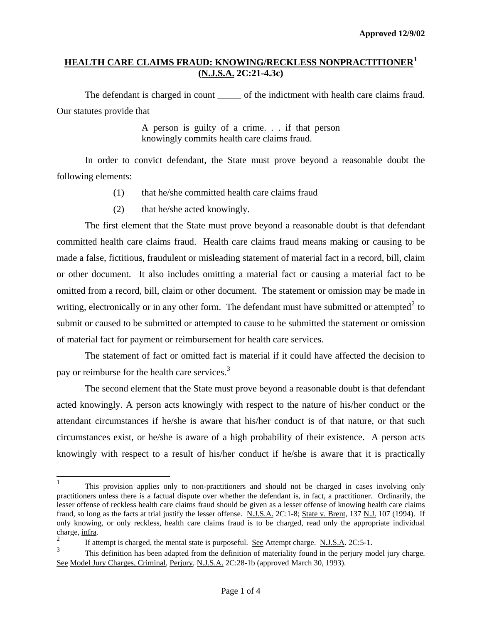# **HEALTH CARE CLAIMS FRAUD: KNOWING/RECKLESS NONPRACTITIONER[1](#page-0-0) (N.J.S.A. 2C:21-4.3c)**

The defendant is charged in count \_\_\_\_\_\_ of the indictment with health care claims fraud. Our statutes provide that

> A person is guilty of a crime. . . if that person knowingly commits health care claims fraud.

 In order to convict defendant, the State must prove beyond a reasonable doubt the following elements:

- (1) that he/she committed health care claims fraud
- (2) that he/she acted knowingly.

 The first element that the State must prove beyond a reasonable doubt is that defendant committed health care claims fraud. Health care claims fraud means making or causing to be made a false, fictitious, fraudulent or misleading statement of material fact in a record, bill, claim or other document. It also includes omitting a material fact or causing a material fact to be omitted from a record, bill, claim or other document. The statement or omission may be made in writing, electronically or in any other form. The defendant must have submitted or attempted<sup>[2](#page-0-1)</sup> to submit or caused to be submitted or attempted to cause to be submitted the statement or omission of material fact for payment or reimbursement for health care services.

 The statement of fact or omitted fact is material if it could have affected the decision to pay or reimburse for the health care services.<sup>[3](#page-0-2)</sup>

 The second element that the State must prove beyond a reasonable doubt is that defendant acted knowingly. A person acts knowingly with respect to the nature of his/her conduct or the attendant circumstances if he/she is aware that his/her conduct is of that nature, or that such circumstances exist, or he/she is aware of a high probability of their existence. A person acts knowingly with respect to a result of his/her conduct if he/she is aware that it is practically

l

<span id="page-0-0"></span><sup>1</sup> This provision applies only to non-practitioners and should not be charged in cases involving only practitioners unless there is a factual dispute over whether the defendant is, in fact, a practitioner. Ordinarily, the lesser offense of reckless health care claims fraud should be given as a lesser offense of knowing health care claims fraud, so long as the facts at trial justify the lesser offense. N.J.S.A. 2C:1-8; State v. Brent, 137 N.J. 107 (1994). If only knowing, or only reckless, health care claims fraud is to be charged, read only the appropriate individual charge, infra. 2

<span id="page-0-3"></span><span id="page-0-1"></span>If attempt is charged, the mental state is purposeful. See Attempt charge. N.J.S.A. 2C:5-1.

<span id="page-0-2"></span><sup>3</sup> This definition has been adapted from the definition of materiality found in the perjury model jury charge. See Model Jury Charges, Criminal, Perjury, N.J.S.A. 2C:28-1b (approved March 30, 1993).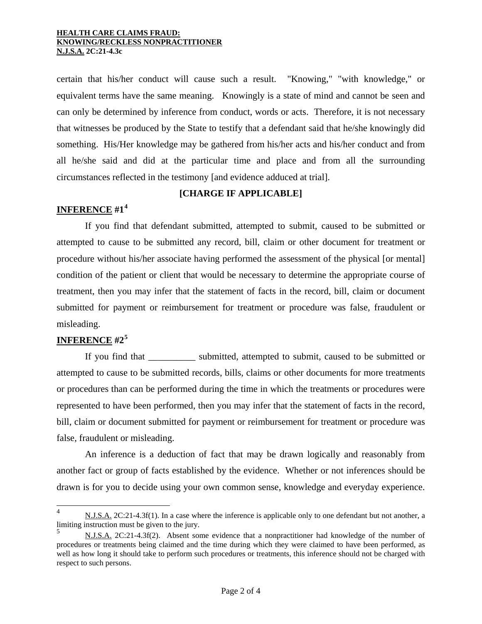## **HEALTH CARE CLAIMS FRAUD: KNOWING/RECKLESS NONPRACTITIONER N.J.S.A. 2C:21-4.3c**

certain that his/her conduct will cause such a result. "Knowing," "with knowledge," or equivalent terms have the same meaning. Knowingly is a state of mind and cannot be seen and can only be determined by inference from conduct, words or acts. Therefore, it is not necessary that witnesses be produced by the State to testify that a defendant said that he/she knowingly did something. His/Her knowledge may be gathered from his/her acts and his/her conduct and from all he/she said and did at the particular time and place and from all the surrounding circumstances reflected in the testimony [and evidence adduced at trial].

# **[CHARGE IF APPLICABLE]**

# **INFERENCE #1[4](#page-0-3)**

 If you find that defendant submitted, attempted to submit, caused to be submitted or attempted to cause to be submitted any record, bill, claim or other document for treatment or procedure without his/her associate having performed the assessment of the physical [or mental] condition of the patient or client that would be necessary to determine the appropriate course of treatment, then you may infer that the statement of facts in the record, bill, claim or document submitted for payment or reimbursement for treatment or procedure was false, fraudulent or misleading.

# **INFERENCE #2[5](#page-1-0)**

l

If you find that submitted, attempted to submit, caused to be submitted or attempted to cause to be submitted records, bills, claims or other documents for more treatments or procedures than can be performed during the time in which the treatments or procedures were represented to have been performed, then you may infer that the statement of facts in the record, bill, claim or document submitted for payment or reimbursement for treatment or procedure was false, fraudulent or misleading.

 An inference is a deduction of fact that may be drawn logically and reasonably from another fact or group of facts established by the evidence. Whether or not inferences should be drawn is for you to decide using your own common sense, knowledge and everyday experience.

<sup>4</sup> N.J.S.A. 2C:21-4.3f(1). In a case where the inference is applicable only to one defendant but not another, a limiting instruction must be given to the jury.

<span id="page-1-0"></span><sup>5</sup> N.J.S.A. 2C:21-4.3f(2). Absent some evidence that a nonpractitioner had knowledge of the number of procedures or treatments being claimed and the time during which they were claimed to have been performed, as well as how long it should take to perform such procedures or treatments, this inference should not be charged with respect to such persons.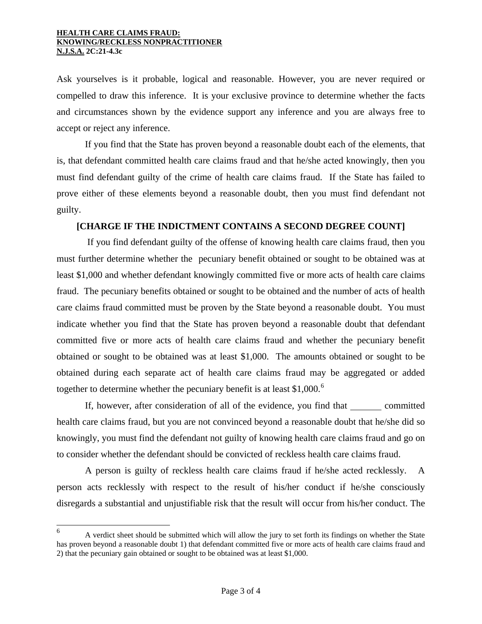## **HEALTH CARE CLAIMS FRAUD: KNOWING/RECKLESS NONPRACTITIONER N.J.S.A. 2C:21-4.3c**

Ask yourselves is it probable, logical and reasonable. However, you are never required or compelled to draw this inference. It is your exclusive province to determine whether the facts and circumstances shown by the evidence support any inference and you are always free to accept or reject any inference.

 If you find that the State has proven beyond a reasonable doubt each of the elements, that is, that defendant committed health care claims fraud and that he/she acted knowingly, then you must find defendant guilty of the crime of health care claims fraud. If the State has failed to prove either of these elements beyond a reasonable doubt, then you must find defendant not guilty.

## **[CHARGE IF THE INDICTMENT CONTAINS A SECOND DEGREE COUNT]**

 If you find defendant guilty of the offense of knowing health care claims fraud, then you must further determine whether the pecuniary benefit obtained or sought to be obtained was at least \$1,000 and whether defendant knowingly committed five or more acts of health care claims fraud. The pecuniary benefits obtained or sought to be obtained and the number of acts of health care claims fraud committed must be proven by the State beyond a reasonable doubt. You must indicate whether you find that the State has proven beyond a reasonable doubt that defendant committed five or more acts of health care claims fraud and whether the pecuniary benefit obtained or sought to be obtained was at least \$1,000. The amounts obtained or sought to be obtained during each separate act of health care claims fraud may be aggregated or added together to determine whether the pecuniary benefit is at least  $$1,000$ .<sup>[6](#page-1-0)</sup>

If, however, after consideration of all of the evidence, you find that committed health care claims fraud, but you are not convinced beyond a reasonable doubt that he/she did so knowingly, you must find the defendant not guilty of knowing health care claims fraud and go on to consider whether the defendant should be convicted of reckless health care claims fraud.

 A person is guilty of reckless health care claims fraud if he/she acted recklessly. A person acts recklessly with respect to the result of his/her conduct if he/she consciously disregards a substantial and unjustifiable risk that the result will occur from his/her conduct. The

 6 A verdict sheet should be submitted which will allow the jury to set forth its findings on whether the State has proven beyond a reasonable doubt 1) that defendant committed five or more acts of health care claims fraud and 2) that the pecuniary gain obtained or sought to be obtained was at least \$1,000.